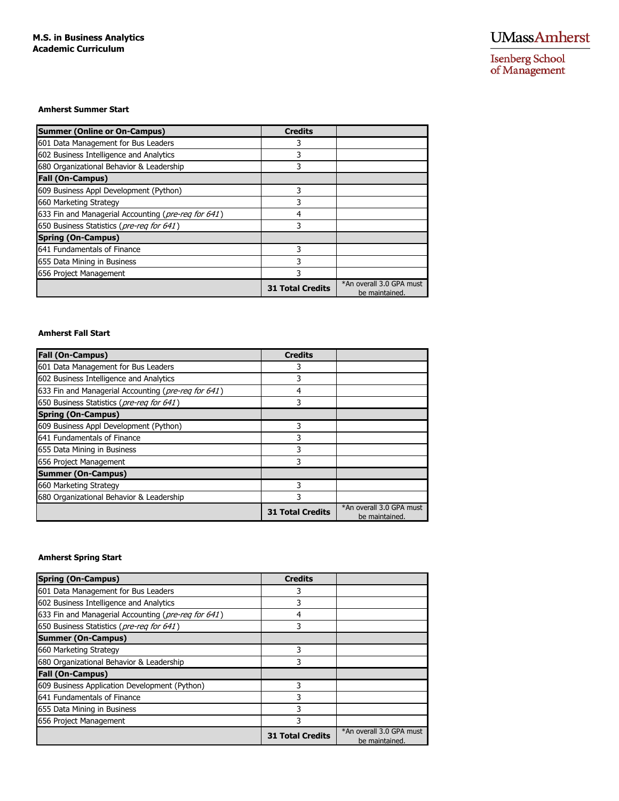Isenberg School<br>of Management

#### **Amherst Summer Start**

| <b>Summer (Online or On-Campus)</b>                 | <b>Credits</b>          |                                            |
|-----------------------------------------------------|-------------------------|--------------------------------------------|
| 601 Data Management for Bus Leaders                 |                         |                                            |
| 602 Business Intelligence and Analytics             |                         |                                            |
| 680 Organizational Behavior & Leadership            | 3                       |                                            |
| <b>Fall (On-Campus)</b>                             |                         |                                            |
| 609 Business Appl Development (Python)              |                         |                                            |
| 660 Marketing Strategy                              |                         |                                            |
| 633 Fin and Managerial Accounting (pre-reg for 641) | 4                       |                                            |
| 650 Business Statistics (pre-reg for 641)           |                         |                                            |
| <b>Spring (On-Campus)</b>                           |                         |                                            |
| 641 Fundamentals of Finance                         | 3                       |                                            |
| 655 Data Mining in Business                         | 3                       |                                            |
| 656 Project Management                              |                         |                                            |
|                                                     | <b>31 Total Credits</b> | *An overall 3.0 GPA must<br>be maintained. |

### **Amherst Fall Start**

| <b>Fall (On-Campus)</b>                             | <b>Credits</b>          |                                            |
|-----------------------------------------------------|-------------------------|--------------------------------------------|
| 601 Data Management for Bus Leaders                 | 3                       |                                            |
| 602 Business Intelligence and Analytics             | 3                       |                                            |
| 633 Fin and Managerial Accounting (pre-reg for 641) | 4                       |                                            |
| 650 Business Statistics (pre-req for 641)           | 3                       |                                            |
| <b>Spring (On-Campus)</b>                           |                         |                                            |
| 609 Business Appl Development (Python)              | 3                       |                                            |
| 641 Fundamentals of Finance                         | 3                       |                                            |
| 655 Data Mining in Business                         | 3                       |                                            |
| 656 Project Management                              | 3                       |                                            |
| <b>Summer (On-Campus)</b>                           |                         |                                            |
| 660 Marketing Strategy                              | 3                       |                                            |
| 680 Organizational Behavior & Leadership            | 3                       |                                            |
|                                                     | <b>31 Total Credits</b> | *An overall 3.0 GPA must<br>be maintained. |

# **Amherst Spring Start**

| <b>Spring (On-Campus)</b>                           | <b>Credits</b>          |                                            |
|-----------------------------------------------------|-------------------------|--------------------------------------------|
| 601 Data Management for Bus Leaders                 | 3                       |                                            |
| 602 Business Intelligence and Analytics             |                         |                                            |
| 633 Fin and Managerial Accounting (pre-reg for 641) | 4                       |                                            |
| 650 Business Statistics (pre-req for 641)           | 3                       |                                            |
| <b>Summer (On-Campus)</b>                           |                         |                                            |
| 660 Marketing Strategy                              | 3                       |                                            |
| 680 Organizational Behavior & Leadership            | 3                       |                                            |
| <b>Fall (On-Campus)</b>                             |                         |                                            |
| 609 Business Application Development (Python)       |                         |                                            |
| 641 Fundamentals of Finance                         | 3                       |                                            |
| 655 Data Mining in Business                         |                         |                                            |
| 656 Project Management                              | 3                       |                                            |
|                                                     | <b>31 Total Credits</b> | *An overall 3.0 GPA must<br>be maintained. |